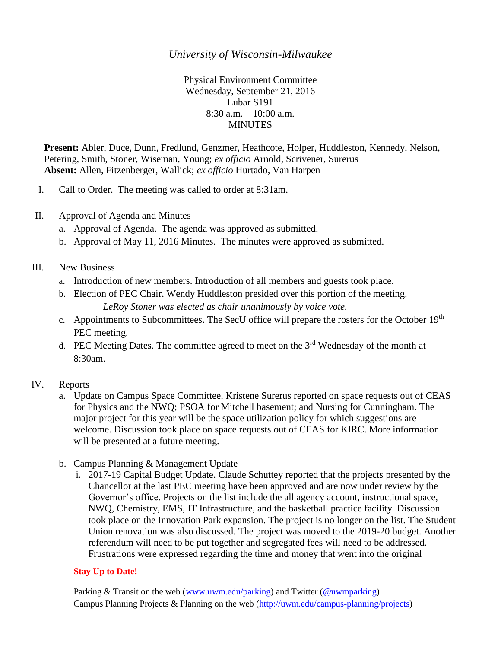# *University of Wisconsin-Milwaukee*

Physical Environment Committee Wednesday, September 21, 2016 Lubar S191 8:30 a.m. – 10:00 a.m. MINUTES

**Present:** Abler, Duce, Dunn, Fredlund, Genzmer, Heathcote, Holper, Huddleston, Kennedy, Nelson, Petering, Smith, Stoner, Wiseman, Young; *ex officio* Arnold, Scrivener, Surerus **Absent:** Allen, Fitzenberger, Wallick; *ex officio* Hurtado, Van Harpen

- I. Call to Order. The meeting was called to order at 8:31am.
- II. Approval of Agenda and Minutes
	- a. Approval of Agenda. The agenda was approved as submitted.
	- b. Approval of May 11, 2016 Minutes. The minutes were approved as submitted.

## III. New Business

- a. Introduction of new members. Introduction of all members and guests took place.
- b. Election of PEC Chair. Wendy Huddleston presided over this portion of the meeting. *LeRoy Stoner was elected as chair unanimously by voice vote.*
- c. Appointments to Subcommittees. The SecU office will prepare the rosters for the October 19<sup>th</sup> PEC meeting.
- d. PEC Meeting Dates. The committee agreed to meet on the  $3<sup>rd</sup>$  Wednesday of the month at 8:30am.

### IV. Reports

- a. Update on Campus Space Committee. Kristene Surerus reported on space requests out of CEAS for Physics and the NWQ; PSOA for Mitchell basement; and Nursing for Cunningham. The major project for this year will be the space utilization policy for which suggestions are welcome. Discussion took place on space requests out of CEAS for KIRC. More information will be presented at a future meeting.
- b. Campus Planning & Management Update
	- i. 2017-19 Capital Budget Update. Claude Schuttey reported that the projects presented by the Chancellor at the last PEC meeting have been approved and are now under review by the Governor's office. Projects on the list include the all agency account, instructional space, NWQ, Chemistry, EMS, IT Infrastructure, and the basketball practice facility. Discussion took place on the Innovation Park expansion. The project is no longer on the list. The Student Union renovation was also discussed. The project was moved to the 2019-20 budget. Another referendum will need to be put together and segregated fees will need to be addressed. Frustrations were expressed regarding the time and money that went into the original

#### **Stay Up to Date!**

Parking & Transit on the web [\(www.uwm.edu/parking\)](http://www.uwm.edu/parking) and Twitter [\(@uwmparking\)](http://www.twitter.com/uwmparking) Campus Planning Projects & Planning on the web [\(http://uwm.edu/campus-planning/projects\)](http://uwm.edu/campus-planning/projects)